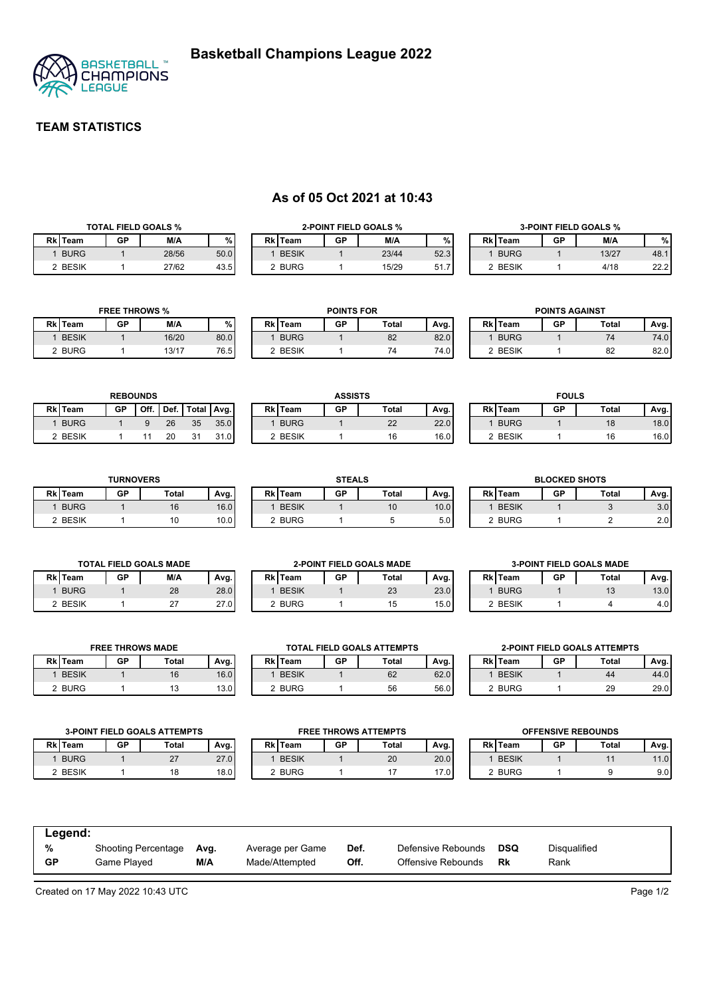

# **TEAM STATISTICS**

# **As of 05 Oct 2021 at 10:43**

| <b>TOTAL FIELD GOALS %</b> |         |           |       |      |
|----------------------------|---------|-----------|-------|------|
|                            | Rk Team | <b>GP</b> | M/A   | %    |
|                            | 1 BURG  |           | 28/56 | 50.0 |
|                            | 2 BESIK |           | 27/62 | 43.5 |

| <b>2-POINT FIELD GOALS %</b> |         |    |       |      |
|------------------------------|---------|----|-------|------|
|                              | Rk Team | GP | M/A   | ℀    |
|                              | 1 BESIK |    | 23/44 | 52.3 |
|                              | 2 BURG  |    | 15/29 |      |

| <b>3-POINT FIELD GOALS %</b> |    |       |      |  |
|------------------------------|----|-------|------|--|
| Rk Team                      | GP | M/A   |      |  |
| 1 BURG                       |    | 13/27 | 48.  |  |
| 2 BESIK                      |    | 4/18  | 22.2 |  |

| <b>FREE THROWS %</b> |    |       |      |  |
|----------------------|----|-------|------|--|
| Rk Team              | GP | M/A   |      |  |
| 1 BESIK              |    | 16/20 | 80.0 |  |
| 2 BURG               |    | 13/17 | 76.5 |  |

**REBOUNDS Rk Team GP Off. Def. Total Avg.** 1 BURG 1 9 26 35 35.0 2 BESIK 1 11 20 31 31.0

| Rk Team | GP | <b>Total</b> | Avg. |
|---------|----|--------------|------|
| 1 BURG  |    | 82           | 82.0 |
| 2 BESIK |    | 74           | 74.0 |
|         |    |              |      |
|         |    |              |      |

**ASSISTS Rk Team GP Total Avg.** 1 BURG 1 22 22.0 2 BESIK 1 16 16.0

**POINTS FOR**

| <b>POINTS AGAINST</b> |    |       |      |  |
|-----------------------|----|-------|------|--|
| Rk Team               | GP | Total | Avg. |  |
| 1 BURG                |    | 74    | 74 N |  |
| 2 BESIK               |    | 82    | 82 C |  |
|                       |    |       |      |  |

| <b>FOULS</b> |         |           |              |      |
|--------------|---------|-----------|--------------|------|
|              | Rk Team | <b>GP</b> | <b>Total</b> | Avg. |
|              | 1 BURG  |           | 18           | 18.0 |
|              | 2 BESIK |           | 16           | 161. |

| <b>TURNOVERS</b> |    |       |      |
|------------------|----|-------|------|
| Rk Team          | GP | Total | Avg. |
| 1 BURG           |    | 16    | 16.0 |
| 2 BESIK          |    | 10    |      |

|         |    | <b>STEALS</b> |      |  |  |
|---------|----|---------------|------|--|--|
| Rk Team | GP | Total         | Avg. |  |  |
| 1 BESIK |    | 10            | 10.0 |  |  |
| 2 BURG  |    | b             |      |  |  |

| <b>BLOCKED SHOTS</b> |    |       |      |  |
|----------------------|----|-------|------|--|
| Rk Team              | GP | Total | Avg. |  |
| 1 BESIK              |    |       |      |  |
| 2 BURG               |    |       |      |  |

| <b>TOTAL FIELD GOALS MADE</b> |                |    |     |      |
|-------------------------------|----------------|----|-----|------|
|                               | <b>Rk</b> Team | GP | M/A | Avg. |
|                               | 1 BURG         |    | 28  | 28.0 |
|                               | 2 BESIK        |    | 27  | 27.0 |

**FREE THROWS MADE Rk Team GP Total Avg.** 1 BESIK 1 16 16.0 2 BURG 1 13 13.0

| <b>2-POINT FIELD GOALS MADE</b> |    |       |      |  |
|---------------------------------|----|-------|------|--|
| Rk Team                         | GP | Total | Avg. |  |
| 1 BESIK                         |    | 23    | 23.0 |  |
| 2 BURG                          |    | 15    | 15.0 |  |

**TOTA Rk Team** 1 BESIK 2 BURG

|         |    | <b>3-POINT FIELD GOALS MADE</b> |      |
|---------|----|---------------------------------|------|
| Rk Team | GP | Total                           | Avg. |
| 1 BURG  |    | 13                              | 13.0 |
| 2 BESIK |    |                                 |      |

| L FIELD GOALS ATTEMPTS<br><b>2-POINT FIELD GOALS ATTEMPTS</b> |       |      |  |                |    |       |      |
|---------------------------------------------------------------|-------|------|--|----------------|----|-------|------|
| GP                                                            | Total | Avg. |  | <b>Rk</b> Team | GP | Total | Avg. |
|                                                               | 62    | 62.0 |  | <b>BESIK</b>   |    | 44    | 44.0 |
|                                                               | 56    | 56.0 |  | 2 BURG         |    | 29    | 29.0 |

| <b>3-POINT FIELD GOALS ATTEMPTS</b> |    |              |      |                | <b>FREE THROWS ATTEMPTS</b> |       |      |  |                | <b>OFFENSIVE REBOUNDS</b> |       |      |
|-------------------------------------|----|--------------|------|----------------|-----------------------------|-------|------|--|----------------|---------------------------|-------|------|
| <b>Rk</b> Team                      | GP | <b>Total</b> | Avg. | <b>Rk</b> Team | GP                          | Total | Avg. |  | <b>Rk</b> Team | GP                        | Total | Avg. |
| <b>BURG</b>                         |    | 27           | 27.0 | <b>BESIK</b>   |                             | 20    | 20.0 |  | <b>BESIK</b>   |                           |       | 11.0 |
| 2 BESIK                             |    |              | 18.0 | 2 BURG         |                             |       | 17.0 |  | 2 BURG         |                           |       | 9.01 |
|                                     |    |              |      |                |                             |       |      |  |                |                           |       |      |

| Legend:   |                            |      |                  |      |                    |            |              |  |  |  |
|-----------|----------------------------|------|------------------|------|--------------------|------------|--------------|--|--|--|
| %         | <b>Shooting Percentage</b> | Avg. | Average per Game | Def. | Defensive Rebounds | <b>DSQ</b> | Disqualified |  |  |  |
| <b>GP</b> | Game Played                | M/A  | Made/Attempted   | Off. | Offensive Rebounds | Rk         | Rank         |  |  |  |

Created on 17 May 2022 10:43 UTC